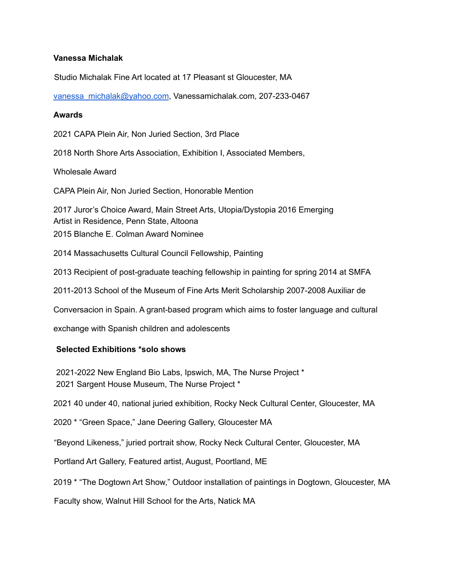# **Vanessa Michalak**

Studio Michalak Fine Art located at 17 Pleasant st Gloucester, MA

vanessa\_michalak@yahoo.com, Vanessamichalak.com, 207-233-0467

## **Awards**

2021 CAPA Plein Air, Non Juried Section, 3rd Place

2018 North Shore Arts Association, Exhibition I, Associated Members,

Wholesale Award

CAPA Plein Air, Non Juried Section, Honorable Mention

2017 Juror's Choice Award, Main Street Arts, Utopia/Dystopia 2016 Emerging Artist in Residence, Penn State, Altoona 2015 Blanche E. Colman Award Nominee

2014 Massachusetts Cultural Council Fellowship, Painting

2013 Recipient of post-graduate teaching fellowship in painting for spring 2014 at SMFA

2011-2013 School of the Museum of Fine Arts Merit Scholarship 2007-2008 Auxiliar de

Conversacion in Spain. A grant-based program which aims to foster language and cultural

exchange with Spanish children and adolescents

## **Selected Exhibitions \*solo shows**

2021-2022 New England Bio Labs, Ipswich, MA, The Nurse Project \* 2021 Sargent House Museum, The Nurse Project \*

2021 40 under 40, national juried exhibition, Rocky Neck Cultural Center, Gloucester, MA

2020 \* "Green Space," Jane Deering Gallery, Gloucester MA

"Beyond Likeness," juried portrait show, Rocky Neck Cultural Center, Gloucester, MA

Portland Art Gallery, Featured artist, August, Poortland, ME

2019 \* "The Dogtown Art Show," Outdoor installation of paintings in Dogtown, Gloucester, MA

Faculty show, Walnut Hill School for the Arts, Natick MA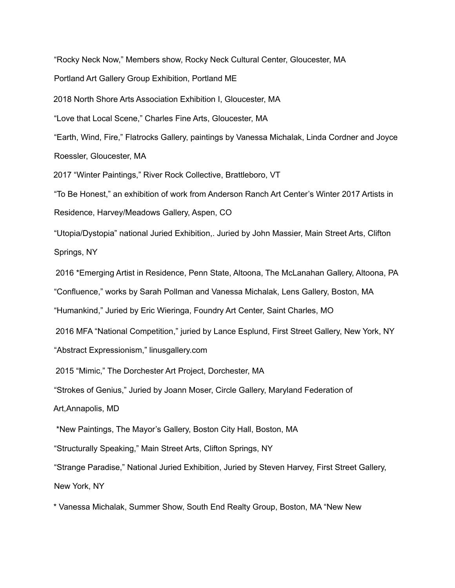"Rocky Neck Now," Members show, Rocky Neck Cultural Center, Gloucester, MA

Portland Art Gallery Group Exhibition, Portland ME

2018 North Shore Arts Association Exhibition I, Gloucester, MA

"Love that Local Scene," Charles Fine Arts, Gloucester, MA

"Earth, Wind, Fire," Flatrocks Gallery, paintings by Vanessa Michalak, Linda Cordner and Joyce Roessler, Gloucester, MA

2017 "Winter Paintings," River Rock Collective, Brattleboro, VT

"To Be Honest," an exhibition of work from Anderson Ranch Art Center's Winter 2017 Artists in Residence, Harvey/Meadows Gallery, Aspen, CO

"Utopia/Dystopia" national Juried Exhibition,. Juried by John Massier, Main Street Arts, Clifton Springs, NY

2016 \*Emerging Artist in Residence, Penn State, Altoona, The McLanahan Gallery, Altoona, PA

"Confluence," works by Sarah Pollman and Vanessa Michalak, Lens Gallery, Boston, MA

"Humankind," Juried by Eric Wieringa, Foundry Art Center, Saint Charles, MO

2016 MFA "National Competition," juried by Lance Esplund, First Street Gallery, New York, NY

"Abstract Expressionism," linusgallery.com

2015 "Mimic," The Dorchester Art Project, Dorchester, MA

"Strokes of Genius," Juried by Joann Moser, Circle Gallery, Maryland Federation of

Art,Annapolis, MD

\*New Paintings, The Mayor's Gallery, Boston City Hall, Boston, MA

"Structurally Speaking," Main Street Arts, Clifton Springs, NY

"Strange Paradise," National Juried Exhibition, Juried by Steven Harvey, First Street Gallery, New York, NY

\* Vanessa Michalak, Summer Show, South End Realty Group, Boston, MA "New New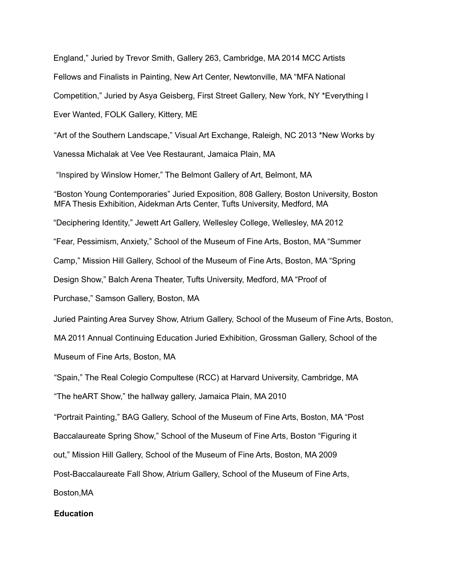England," Juried by Trevor Smith, Gallery 263, Cambridge, MA 2014 MCC Artists Fellows and Finalists in Painting, New Art Center, Newtonville, MA "MFA National Competition," Juried by Asya Geisberg, First Street Gallery, New York, NY \*Everything I Ever Wanted, FOLK Gallery, Kittery, ME "Art of the Southern Landscape," Visual Art Exchange, Raleigh, NC 2013 \*New Works by Vanessa Michalak at Vee Vee Restaurant, Jamaica Plain, MA "Inspired by Winslow Homer," The Belmont Gallery of Art, Belmont, MA "Boston Young Contemporaries" Juried Exposition, 808 Gallery, Boston University, Boston MFA Thesis Exhibition, Aidekman Arts Center, Tufts University, Medford, MA "Deciphering Identity," Jewett Art Gallery, Wellesley College, Wellesley, MA 2012 "Fear, Pessimism, Anxiety," School of the Museum of Fine Arts, Boston, MA "Summer Camp," Mission Hill Gallery, School of the Museum of Fine Arts, Boston, MA "Spring Design Show," Balch Arena Theater, Tufts University, Medford, MA "Proof of Purchase," Samson Gallery, Boston, MA Juried Painting Area Survey Show, Atrium Gallery, School of the Museum of Fine Arts, Boston, MA 2011 Annual Continuing Education Juried Exhibition, Grossman Gallery, School of the Museum of Fine Arts, Boston, MA "Spain," The Real Colegio Compultese (RCC) at Harvard University, Cambridge, MA "The heART Show," the hallway gallery, Jamaica Plain, MA 2010 "Portrait Painting," BAG Gallery, School of the Museum of Fine Arts, Boston, MA "Post Baccalaureate Spring Show," School of the Museum of Fine Arts, Boston "Figuring it out," Mission Hill Gallery, School of the Museum of Fine Arts, Boston, MA 2009 Post-Baccalaureate Fall Show, Atrium Gallery, School of the Museum of Fine Arts, Boston,MA **Education**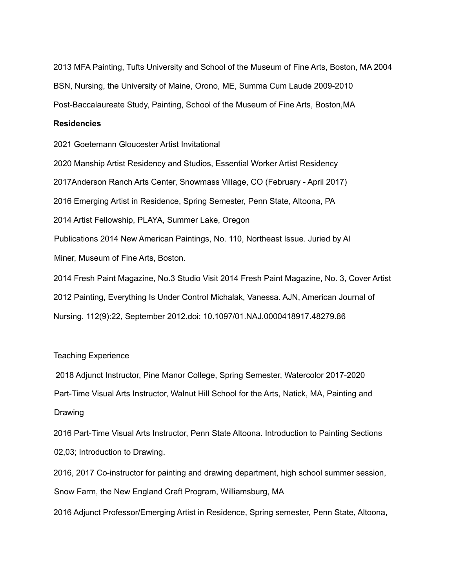2013 MFA Painting, Tufts University and School of the Museum of Fine Arts, Boston, MA 2004 BSN, Nursing, the University of Maine, Orono, ME, Summa Cum Laude 2009-2010 Post-Baccalaureate Study, Painting, School of the Museum of Fine Arts, Boston,MA

#### **Residencies**

2021 Goetemann Gloucester Artist Invitational

2020 Manship Artist Residency and Studios, Essential Worker Artist Residency 2017Anderson Ranch Arts Center, Snowmass Village, CO (February - April 2017) 2016 Emerging Artist in Residence, Spring Semester, Penn State, Altoona, PA 2014 Artist Fellowship, PLAYA, Summer Lake, Oregon Publications 2014 New American Paintings, No. 110, Northeast Issue. Juried by Al Miner, Museum of Fine Arts, Boston.

2014 Fresh Paint Magazine, No.3 Studio Visit 2014 Fresh Paint Magazine, No. 3, Cover Artist 2012 Painting, Everything Is Under Control Michalak, Vanessa. AJN, American Journal of Nursing. 112(9):22, September 2012.doi: 10.1097/01.NAJ.0000418917.48279.86

## Teaching Experience

2018 Adjunct Instructor, Pine Manor College, Spring Semester, Watercolor 2017-2020 Part-Time Visual Arts Instructor, Walnut Hill School for the Arts, Natick, MA, Painting and Drawing

2016 Part-Time Visual Arts Instructor, Penn State Altoona. Introduction to Painting Sections 02,03; Introduction to Drawing.

2016, 2017 Co-instructor for painting and drawing department, high school summer session, Snow Farm, the New England Craft Program, Williamsburg, MA

2016 Adjunct Professor/Emerging Artist in Residence, Spring semester, Penn State, Altoona,